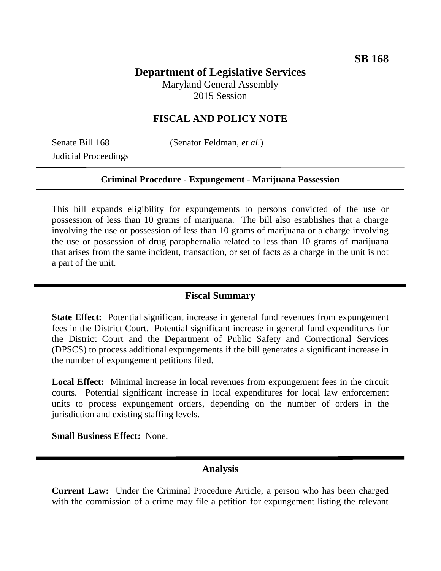# **Department of Legislative Services**

Maryland General Assembly 2015 Session

## **FISCAL AND POLICY NOTE**

Judicial Proceedings

Senate Bill 168 (Senator Feldman, *et al.*)

#### **Criminal Procedure - Expungement - Marijuana Possession**

This bill expands eligibility for expungements to persons convicted of the use or possession of less than 10 grams of marijuana. The bill also establishes that a charge involving the use or possession of less than 10 grams of marijuana or a charge involving the use or possession of drug paraphernalia related to less than 10 grams of marijuana that arises from the same incident, transaction, or set of facts as a charge in the unit is not a part of the unit.

### **Fiscal Summary**

**State Effect:** Potential significant increase in general fund revenues from expungement fees in the District Court. Potential significant increase in general fund expenditures for the District Court and the Department of Public Safety and Correctional Services (DPSCS) to process additional expungements if the bill generates a significant increase in the number of expungement petitions filed.

**Local Effect:** Minimal increase in local revenues from expungement fees in the circuit courts. Potential significant increase in local expenditures for local law enforcement units to process expungement orders, depending on the number of orders in the jurisdiction and existing staffing levels.

**Small Business Effect:** None.

#### **Analysis**

**Current Law:** Under the Criminal Procedure Article, a person who has been charged with the commission of a crime may file a petition for expungement listing the relevant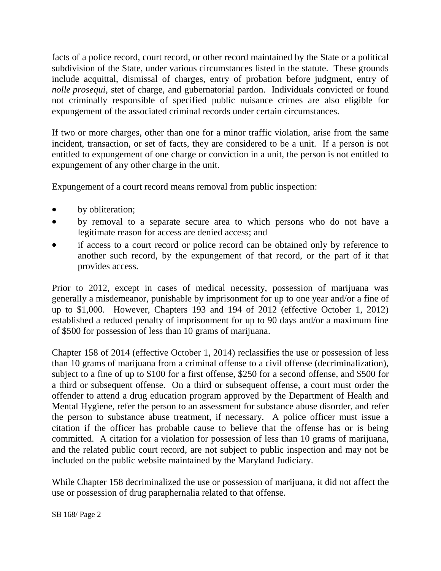facts of a police record, court record, or other record maintained by the State or a political subdivision of the State, under various circumstances listed in the statute. These grounds include acquittal, dismissal of charges, entry of probation before judgment, entry of *nolle prosequi*, stet of charge, and gubernatorial pardon. Individuals convicted or found not criminally responsible of specified public nuisance crimes are also eligible for expungement of the associated criminal records under certain circumstances.

If two or more charges, other than one for a minor traffic violation, arise from the same incident, transaction, or set of facts, they are considered to be a unit. If a person is not entitled to expungement of one charge or conviction in a unit, the person is not entitled to expungement of any other charge in the unit.

Expungement of a court record means removal from public inspection:

- by obliteration;
- by removal to a separate secure area to which persons who do not have a legitimate reason for access are denied access; and
- if access to a court record or police record can be obtained only by reference to another such record, by the expungement of that record, or the part of it that provides access.

Prior to 2012, except in cases of medical necessity, possession of marijuana was generally a misdemeanor, punishable by imprisonment for up to one year and/or a fine of up to \$1,000. However, Chapters 193 and 194 of 2012 (effective October 1, 2012) established a reduced penalty of imprisonment for up to 90 days and/or a maximum fine of \$500 for possession of less than 10 grams of marijuana.

Chapter 158 of 2014 (effective October 1, 2014) reclassifies the use or possession of less than 10 grams of marijuana from a criminal offense to a civil offense (decriminalization), subject to a fine of up to \$100 for a first offense, \$250 for a second offense, and \$500 for a third or subsequent offense. On a third or subsequent offense, a court must order the offender to attend a drug education program approved by the Department of Health and Mental Hygiene, refer the person to an assessment for substance abuse disorder, and refer the person to substance abuse treatment, if necessary. A police officer must issue a citation if the officer has probable cause to believe that the offense has or is being committed. A citation for a violation for possession of less than 10 grams of marijuana, and the related public court record, are not subject to public inspection and may not be included on the public website maintained by the Maryland Judiciary.

While Chapter 158 decriminalized the use or possession of marijuana, it did not affect the use or possession of drug paraphernalia related to that offense.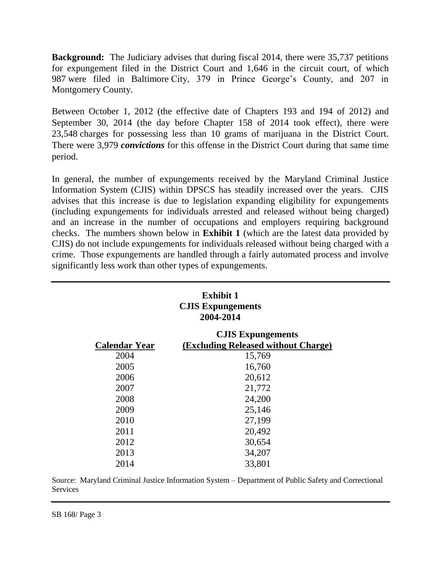**Background:** The Judiciary advises that during fiscal 2014, there were 35,737 petitions for expungement filed in the District Court and 1,646 in the circuit court, of which 987 were filed in Baltimore City, 379 in Prince George's County, and 207 in Montgomery County.

Between October 1, 2012 (the effective date of Chapters 193 and 194 of 2012) and September 30, 2014 (the day before Chapter 158 of 2014 took effect), there were 23,548 charges for possessing less than 10 grams of marijuana in the District Court. There were 3,979 *convictions* for this offense in the District Court during that same time period.

In general, the number of expungements received by the Maryland Criminal Justice Information System (CJIS) within DPSCS has steadily increased over the years. CJIS advises that this increase is due to legislation expanding eligibility for expungements (including expungements for individuals arrested and released without being charged) and an increase in the number of occupations and employers requiring background checks. The numbers shown below in **Exhibit 1** (which are the latest data provided by CJIS) do not include expungements for individuals released without being charged with a crime. Those expungements are handled through a fairly automated process and involve significantly less work than other types of expungements.

| <b>Exhibit 1</b><br><b>CJIS Expungements</b><br>2004-2014 |                                                                 |
|-----------------------------------------------------------|-----------------------------------------------------------------|
| <b>Calendar Year</b>                                      | <b>CJIS Expungements</b><br>(Excluding Released without Charge) |
| 2004                                                      | 15,769                                                          |
| 2005                                                      | 16,760                                                          |
| 2006                                                      | 20,612                                                          |
| 2007                                                      | 21,772                                                          |
| 2008                                                      | 24,200                                                          |
| 2009                                                      | 25,146                                                          |
| 2010                                                      | 27,199                                                          |
| 2011                                                      | 20,492                                                          |
| 2012                                                      | 30,654                                                          |
| 2013                                                      | 34,207                                                          |
| 2014                                                      | 33,801                                                          |

Source: Maryland Criminal Justice Information System – Department of Public Safety and Correctional **Services**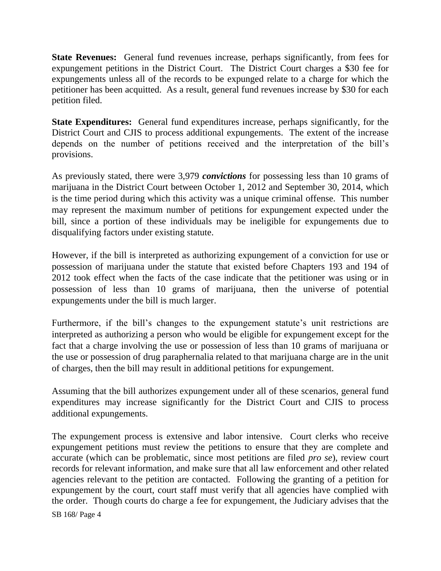**State Revenues:** General fund revenues increase, perhaps significantly, from fees for expungement petitions in the District Court. The District Court charges a \$30 fee for expungements unless all of the records to be expunged relate to a charge for which the petitioner has been acquitted. As a result, general fund revenues increase by \$30 for each petition filed.

**State Expenditures:** General fund expenditures increase, perhaps significantly, for the District Court and CJIS to process additional expungements. The extent of the increase depends on the number of petitions received and the interpretation of the bill's provisions.

As previously stated, there were 3,979 *convictions* for possessing less than 10 grams of marijuana in the District Court between October 1, 2012 and September 30, 2014, which is the time period during which this activity was a unique criminal offense. This number may represent the maximum number of petitions for expungement expected under the bill, since a portion of these individuals may be ineligible for expungements due to disqualifying factors under existing statute.

However, if the bill is interpreted as authorizing expungement of a conviction for use or possession of marijuana under the statute that existed before Chapters 193 and 194 of 2012 took effect when the facts of the case indicate that the petitioner was using or in possession of less than 10 grams of marijuana, then the universe of potential expungements under the bill is much larger.

Furthermore, if the bill's changes to the expungement statute's unit restrictions are interpreted as authorizing a person who would be eligible for expungement except for the fact that a charge involving the use or possession of less than 10 grams of marijuana or the use or possession of drug paraphernalia related to that marijuana charge are in the unit of charges, then the bill may result in additional petitions for expungement.

Assuming that the bill authorizes expungement under all of these scenarios, general fund expenditures may increase significantly for the District Court and CJIS to process additional expungements.

SB 168/ Page 4 The expungement process is extensive and labor intensive. Court clerks who receive expungement petitions must review the petitions to ensure that they are complete and accurate (which can be problematic, since most petitions are filed *pro se*), review court records for relevant information, and make sure that all law enforcement and other related agencies relevant to the petition are contacted. Following the granting of a petition for expungement by the court, court staff must verify that all agencies have complied with the order. Though courts do charge a fee for expungement, the Judiciary advises that the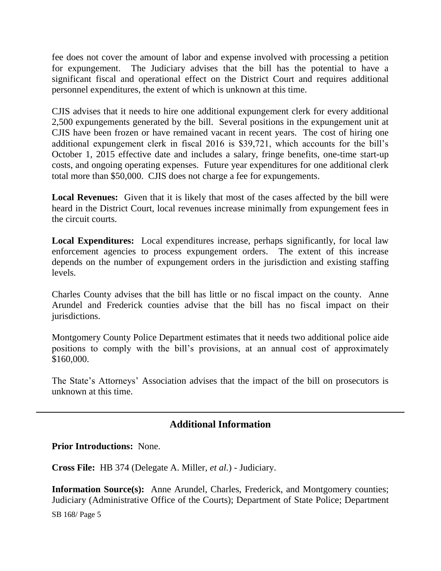fee does not cover the amount of labor and expense involved with processing a petition for expungement. The Judiciary advises that the bill has the potential to have a significant fiscal and operational effect on the District Court and requires additional personnel expenditures, the extent of which is unknown at this time.

CJIS advises that it needs to hire one additional expungement clerk for every additional 2,500 expungements generated by the bill. Several positions in the expungement unit at CJIS have been frozen or have remained vacant in recent years. The cost of hiring one additional expungement clerk in fiscal 2016 is \$39,721, which accounts for the bill's October 1, 2015 effective date and includes a salary, fringe benefits, one-time start-up costs, and ongoing operating expenses. Future year expenditures for one additional clerk total more than \$50,000. CJIS does not charge a fee for expungements.

**Local Revenues:** Given that it is likely that most of the cases affected by the bill were heard in the District Court, local revenues increase minimally from expungement fees in the circuit courts.

**Local Expenditures:** Local expenditures increase, perhaps significantly, for local law enforcement agencies to process expungement orders. The extent of this increase depends on the number of expungement orders in the jurisdiction and existing staffing levels.

Charles County advises that the bill has little or no fiscal impact on the county. Anne Arundel and Frederick counties advise that the bill has no fiscal impact on their jurisdictions.

Montgomery County Police Department estimates that it needs two additional police aide positions to comply with the bill's provisions, at an annual cost of approximately \$160,000.

The State's Attorneys' Association advises that the impact of the bill on prosecutors is unknown at this time.

# **Additional Information**

**Prior Introductions:** None.

**Cross File:** HB 374 (Delegate A. Miller, *et al.*) - Judiciary.

**Information Source(s):** Anne Arundel, Charles, Frederick, and Montgomery counties; Judiciary (Administrative Office of the Courts); Department of State Police; Department

SB 168/ Page 5